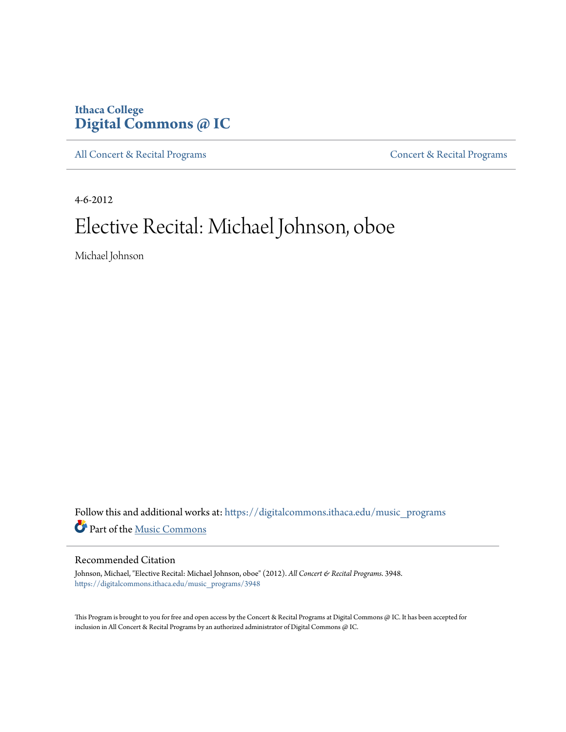### **Ithaca College [Digital Commons @ IC](https://digitalcommons.ithaca.edu?utm_source=digitalcommons.ithaca.edu%2Fmusic_programs%2F3948&utm_medium=PDF&utm_campaign=PDFCoverPages)**

[All Concert & Recital Programs](https://digitalcommons.ithaca.edu/music_programs?utm_source=digitalcommons.ithaca.edu%2Fmusic_programs%2F3948&utm_medium=PDF&utm_campaign=PDFCoverPages) **[Concert & Recital Programs](https://digitalcommons.ithaca.edu/som_programs?utm_source=digitalcommons.ithaca.edu%2Fmusic_programs%2F3948&utm_medium=PDF&utm_campaign=PDFCoverPages)** 

4-6-2012

# Elective Recital: Michael Johnson, oboe

Michael Johnson

Follow this and additional works at: [https://digitalcommons.ithaca.edu/music\\_programs](https://digitalcommons.ithaca.edu/music_programs?utm_source=digitalcommons.ithaca.edu%2Fmusic_programs%2F3948&utm_medium=PDF&utm_campaign=PDFCoverPages) Part of the [Music Commons](http://network.bepress.com/hgg/discipline/518?utm_source=digitalcommons.ithaca.edu%2Fmusic_programs%2F3948&utm_medium=PDF&utm_campaign=PDFCoverPages)

### Recommended Citation

Johnson, Michael, "Elective Recital: Michael Johnson, oboe" (2012). *All Concert & Recital Programs*. 3948. [https://digitalcommons.ithaca.edu/music\\_programs/3948](https://digitalcommons.ithaca.edu/music_programs/3948?utm_source=digitalcommons.ithaca.edu%2Fmusic_programs%2F3948&utm_medium=PDF&utm_campaign=PDFCoverPages)

This Program is brought to you for free and open access by the Concert & Recital Programs at Digital Commons @ IC. It has been accepted for inclusion in All Concert & Recital Programs by an authorized administrator of Digital Commons @ IC.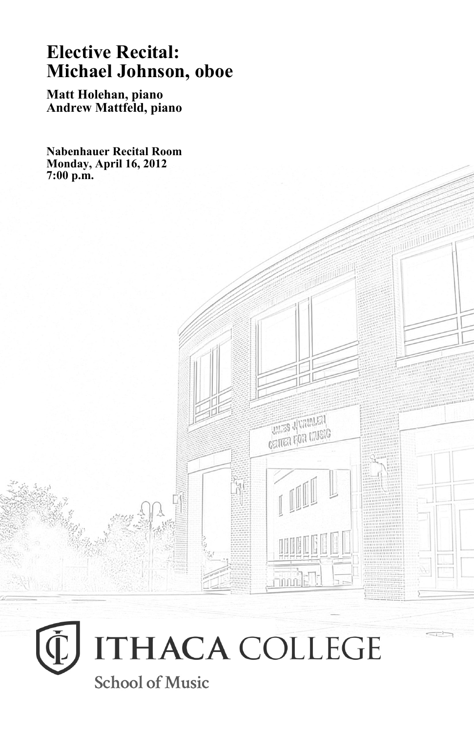## **Elective Recital: Michael Johnson, oboe**

**Matt Holehan, piano Andrew Mattfeld, piano**

**Nabenhauer Recital Room Monday, April 16, 2012 7:00 p.m.**



**UNITED VIOLENTS** CRITER FOR MUSIC

 $\frac{1}{\sinh\left(\frac{1}{2}\right)}$